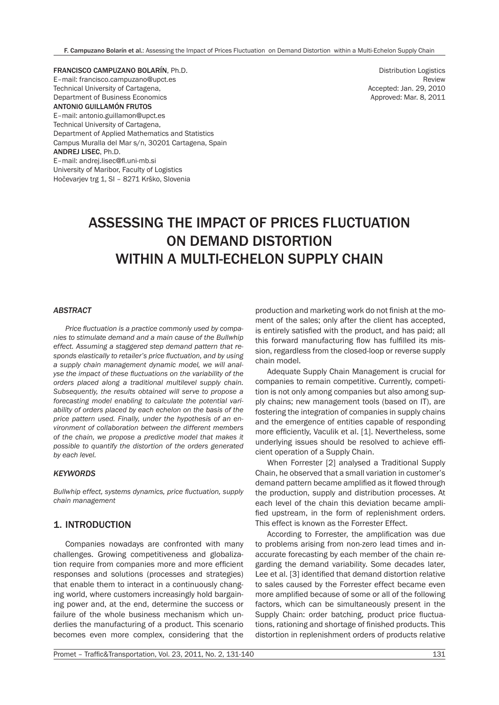F. Campuzano Bolarín et al.: Assessing the Impact of Prices Fluctuation on Demand Distortion within a Multi-Echelon Supply Chain

FRANCISCO CAMPUZANO BOLARÍN, Ph.D. E–mail: francisco.campuzano@upct.es Technical University of Cartagena, Department of Business Economics ANTONIO GUILLAMÓN FRUTOS E–mail: antonio.guillamon@upct.es Technical University of Cartagena, Department of Applied Mathematics and Statistics Campus Muralla del Mar s/n, 30201 Cartagena, Spain ANDREJ LISEC, Ph.D. E–mail: andrej.lisec@fl.uni-mb.si University of Maribor, Faculty of Logistics Hočevarjev trg 1, SI – 8271 Krško, Slovenia

Distribution Logistics Review Accepted: Jan. 29, 2010 Approved: Mar. 8, 2011

# ASSESSING THE IMPACT OF PRICES FLUCTUATION ON DEMAND DISTORTION WITHIN A MULTI-ECHELON SUPPLY CHAIN

## *ABSTRACT*

*Price fluctuation is a practice commonly used by companies to stimulate demand and a main cause of the Bullwhip effect. Assuming a staggered step demand pattern that responds elastically to retailer's price fluctuation, and by using a supply chain management dynamic model, we will analyse the impact of these fluctuations on the variability of the orders placed along a traditional multilevel supply chain. Subsequently, the results obtained will serve to propose a forecasting model enabling to calculate the potential variability of orders placed by each echelon on the basis of the price pattern used. Finally, under the hypothesis of an environment of collaboration between the different members of the chain, we propose a predictive model that makes it possible to quantify the distortion of the orders generated by each level.*

#### *KEYWORDS*

*Bullwhip effect, systems dynamics, price fluctuation, supply chain management*

## 1. INTRODUCTION

Companies nowadays are confronted with many challenges. Growing competitiveness and globalization require from companies more and more efficient responses and solutions (processes and strategies) that enable them to interact in a continuously changing world, where customers increasingly hold bargaining power and, at the end, determine the success or failure of the whole business mechanism which underlies the manufacturing of a product. This scenario becomes even more complex, considering that the

production and marketing work do not finish at the moment of the sales; only after the client has accepted, is entirely satisfied with the product, and has paid; all this forward manufacturing flow has fulfilled its mission, regardless from the closed-loop or reverse supply chain model.

Adequate Supply Chain Management is crucial for companies to remain competitive. Currently, competition is not only among companies but also among supply chains; new management tools (based on IT), are fostering the integration of companies in supply chains and the emergence of entities capable of responding more efficiently, Vaculik et al. [1]. Nevertheless, some underlying issues should be resolved to achieve efficient operation of a Supply Chain.

When Forrester [2] analysed a Traditional Supply Chain, he observed that a small variation in customer's demand pattern became amplified as it flowed through the production, supply and distribution processes. At each level of the chain this deviation became amplified upstream, in the form of replenishment orders. This effect is known as the Forrester Effect.

According to Forrester, the amplification was due to problems arising from non-zero lead times and inaccurate forecasting by each member of the chain regarding the demand variability. Some decades later, Lee et al. [3] identified that demand distortion relative to sales caused by the Forrester effect became even more amplified because of some or all of the following factors, which can be simultaneously present in the Supply Chain: order batching, product price fluctuations, rationing and shortage of finished products. This distortion in replenishment orders of products relative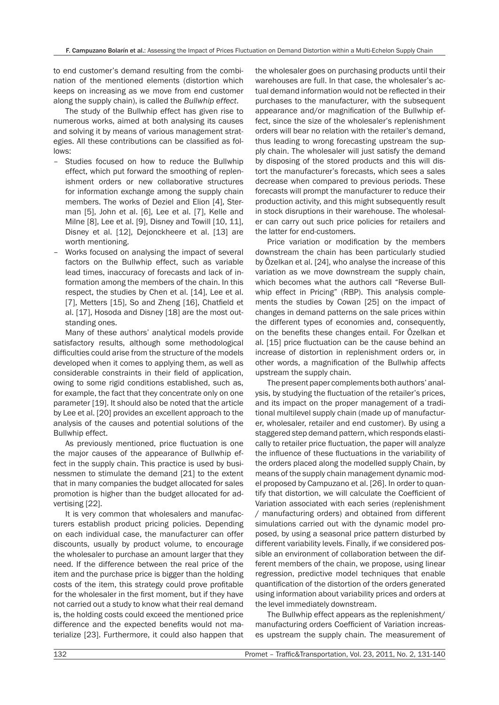to end customer's demand resulting from the combination of the mentioned elements (distortion which keeps on increasing as we move from end customer along the supply chain), is called the *Bullwhip effect*.

The study of the Bullwhip effect has given rise to numerous works, aimed at both analysing its causes and solving it by means of various management strategies. All these contributions can be classified as follows:

- Studies focused on how to reduce the Bullwhip effect, which put forward the smoothing of replenishment orders or new collaborative structures for information exchange among the supply chain members. The works of Deziel and Elion [4], Sterman [5], John et al. [6], Lee et al. [7], Kelle and Milne [8], Lee et al. [9], Disney and Towill [10, 11], Disney et al. [12], Dejonckheere et al. [13] are worth mentioning.
- Works focused on analysing the impact of several factors on the Bullwhip effect, such as variable lead times, inaccuracy of forecasts and lack of information among the members of the chain. In this respect, the studies by Chen et al. [14], Lee et al. [7], Metters [15], So and Zheng [16], Chatfield et al. [17], Hosoda and Disney [18] are the most outstanding ones.

Many of these authors' analytical models provide satisfactory results, although some methodological difficulties could arise from the structure of the models developed when it comes to applying them, as well as considerable constraints in their field of application, owing to some rigid conditions established, such as, for example, the fact that they concentrate only on one parameter [19]. It should also be noted that the article by Lee et al. [20] provides an excellent approach to the analysis of the causes and potential solutions of the Bullwhip effect.

As previously mentioned, price fluctuation is one the major causes of the appearance of Bullwhip effect in the supply chain. This practice is used by businessmen to stimulate the demand [21] to the extent that in many companies the budget allocated for sales promotion is higher than the budget allocated for advertising [22].

It is very common that wholesalers and manufacturers establish product pricing policies. Depending on each individual case, the manufacturer can offer discounts, usually by product volume, to encourage the wholesaler to purchase an amount larger that they need. If the difference between the real price of the item and the purchase price is bigger than the holding costs of the item, this strategy could prove profitable for the wholesaler in the first moment, but if they have not carried out a study to know what their real demand is, the holding costs could exceed the mentioned price difference and the expected benefits would not materialize [23]. Furthermore, it could also happen that

the wholesaler goes on purchasing products until their warehouses are full. In that case, the wholesaler's actual demand information would not be reflected in their purchases to the manufacturer, with the subsequent appearance and/or magnification of the Bullwhip effect, since the size of the wholesaler's replenishment orders will bear no relation with the retailer's demand, thus leading to wrong forecasting upstream the supply chain. The wholesaler will just satisfy the demand by disposing of the stored products and this will distort the manufacturer's forecasts, which sees a sales decrease when compared to previous periods. These forecasts will prompt the manufacturer to reduce their production activity, and this might subsequently result in stock disruptions in their warehouse. The wholesaler can carry out such price policies for retailers and the latter for end-customers.

Price variation or modification by the members downstream the chain has been particularly studied by Özelkan et al. [24], who analyse the increase of this variation as we move downstream the supply chain, which becomes what the authors call "Reverse Bullwhip effect in Pricing" (RBP). This analysis complements the studies by Cowan [25] on the impact of changes in demand patterns on the sale prices within the different types of economies and, consequently, on the benefits these changes entail. For Özelkan et al. [15] price fluctuation can be the cause behind an increase of distortion in replenishment orders or, in other words, a magnification of the Bullwhip affects upstream the supply chain.

The present paper complements both authors' analysis, by studying the fluctuation of the retailer's prices, and its impact on the proper management of a traditional multilevel supply chain (made up of manufacturer, wholesaler, retailer and end customer). By using a staggered step demand pattern, which responds elastically to retailer price fluctuation, the paper will analyze the influence of these fluctuations in the variability of the orders placed along the modelled supply Chain, by means of the supply chain management dynamic model proposed by Campuzano et al. [26]. In order to quantify that distortion, we will calculate the Coefficient of Variation associated with each series (replenishment / manufacturing orders) and obtained from different simulations carried out with the dynamic model proposed, by using a seasonal price pattern disturbed by different variability levels. Finally, if we considered possible an environment of collaboration between the different members of the chain, we propose, using linear regression, predictive model techniques that enable quantification of the distortion of the orders generated using information about variability prices and orders at the level immediately downstream.

The Bullwhip effect appears as the replenishment/ manufacturing orders Coefficient of Variation increases upstream the supply chain. The measurement of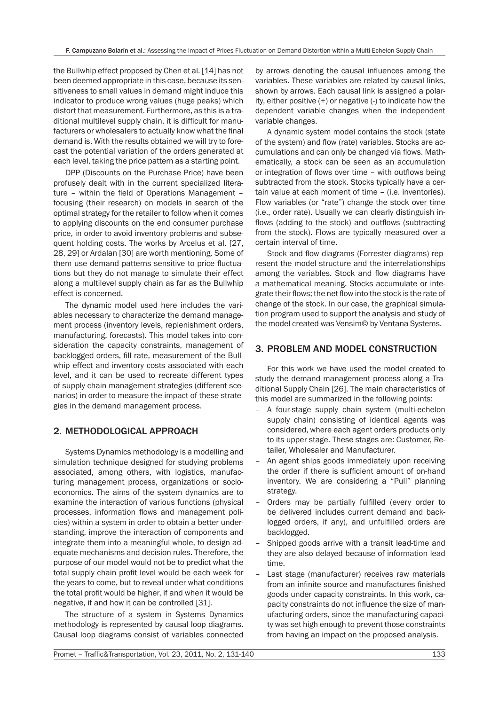the Bullwhip effect proposed by Chen et al. [14] has not been deemed appropriate in this case, because its sensitiveness to small values in demand might induce this indicator to produce wrong values (huge peaks) which distort that measurement. Furthermore, as this is a traditional multilevel supply chain, it is difficult for manufacturers or wholesalers to actually know what the final demand is. With the results obtained we will try to forecast the potential variation of the orders generated at each level, taking the price pattern as a starting point.

DPP (Discounts on the Purchase Price) have been profusely dealt with in the current specialized literature – within the field of Operations Management – focusing (their research) on models in search of the optimal strategy for the retailer to follow when it comes to applying discounts on the end consumer purchase price, in order to avoid inventory problems and subsequent holding costs. The works by Arcelus et al. [27, 28, 29] or Ardalan [30] are worth mentioning. Some of them use demand patterns sensitive to price fluctuations but they do not manage to simulate their effect along a multilevel supply chain as far as the Bullwhip effect is concerned.

The dynamic model used here includes the variables necessary to characterize the demand management process (inventory levels, replenishment orders, manufacturing, forecasts). This model takes into consideration the capacity constraints, management of backlogged orders, fill rate, measurement of the Bullwhip effect and inventory costs associated with each level, and it can be used to recreate different types of supply chain management strategies (different scenarios) in order to measure the impact of these strategies in the demand management process.

# 2. METHODOLOGICAL APPROACH

Systems Dynamics methodology is a modelling and simulation technique designed for studying problems associated, among others, with logistics, manufacturing management process, organizations or socioeconomics. The aims of the system dynamics are to examine the interaction of various functions (physical processes, information flows and management policies) within a system in order to obtain a better understanding, improve the interaction of components and integrate them into a meaningful whole, to design adequate mechanisms and decision rules. Therefore, the purpose of our model would not be to predict what the total supply chain profit level would be each week for the years to come, but to reveal under what conditions the total profit would be higher, if and when it would be negative, if and how it can be controlled [31].

The structure of a system in Systems Dynamics methodology is represented by causal loop diagrams. Causal loop diagrams consist of variables connected

by arrows denoting the causal influences among the variables. These variables are related by causal links, shown by arrows. Each causal link is assigned a polarity, either positive (+) or negative (-) to indicate how the dependent variable changes when the independent variable changes.

A dynamic system model contains the stock (state of the system) and flow (rate) variables. Stocks are accumulations and can only be changed via flows. Mathematically, a stock can be seen as an accumulation or integration of flows over time – with outflows being subtracted from the stock. Stocks typically have a certain value at each moment of time – (i.e. inventories). Flow variables (or "rate") change the stock over time (i.e., order rate). Usually we can clearly distinguish inflows (adding to the stock) and outflows (subtracting from the stock). Flows are typically measured over a certain interval of time.

Stock and flow diagrams (Forrester diagrams) represent the model structure and the interrelationships among the variables. Stock and flow diagrams have a mathematical meaning. Stocks accumulate or integrate their flows; the net flow into the stock is the rate of change of the stock. In our case, the graphical simulation program used to support the analysis and study of the model created was Vensim© by Ventana Systems.

# 3. PROBLEM AND MODEL CONSTRUCTION

For this work we have used the model created to study the demand management process along a Traditional Supply Chain [26]. The main characteristics of this model are summarized in the following points:

- A four-stage supply chain system (multi-echelon supply chain) consisting of identical agents was considered, where each agent orders products only to its upper stage. These stages are: Customer, Retailer, Wholesaler and Manufacturer.
- An agent ships goods immediately upon receiving the order if there is sufficient amount of on-hand inventory. We are considering a "Pull" planning strategy.
- Orders may be partially fulfilled (every order to be delivered includes current demand and backlogged orders, if any), and unfulfilled orders are backlogged.
- Shipped goods arrive with a transit lead-time and they are also delayed because of information lead time.
- Last stage (manufacturer) receives raw materials from an infinite source and manufactures finished goods under capacity constraints. In this work, capacity constraints do not influence the size of manufacturing orders, since the manufacturing capacity was set high enough to prevent those constraints from having an impact on the proposed analysis.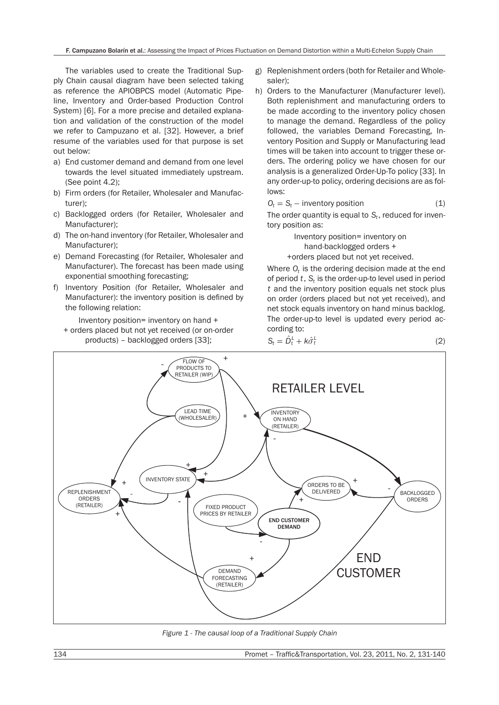The variables used to create the Traditional Supply Chain causal diagram have been selected taking as reference the APIOBPCS model (Automatic Pipeline, Inventory and Order-based Production Control System) [6]. For a more precise and detailed explanation and validation of the construction of the model we refer to Campuzano et al. [32]. However, a brief resume of the variables used for that purpose is set out below:

- a) End customer demand and demand from one level towards the level situated immediately upstream. (See point 4.2);
- b) Firm orders (for Retailer, Wholesaler and Manufacturer);
- c) Backlogged orders (for Retailer, Wholesaler and Manufacturer);
- d) The on-hand inventory (for Retailer, Wholesaler and Manufacturer);
- e) Demand Forecasting (for Retailer, Wholesaler and Manufacturer). The forecast has been made using exponential smoothing forecasting;
- f) Inventory Position (for Retailer, Wholesaler and Manufacturer): the inventory position is defined by the following relation:

Inventory position= inventory on hand +

+ orders placed but not yet received (or on-order products) – backlogged orders [33];

- g) Replenishment orders (both for Retailer and Wholesaler);
- h) Orders to the Manufacturer (Manufacturer level). Both replenishment and manufacturing orders to be made according to the inventory policy chosen to manage the demand. Regardless of the policy followed, the variables Demand Forecasting, Inventory Position and Supply or Manufacturing lead times will be taken into account to trigger these orders. The ordering policy we have chosen for our analysis is a generalized Order-Up-To policy [33]. In any order-up-to policy, ordering decisions are as follows:

$$
O_t = S_t - \text{ inventory position} \tag{1}
$$

The order quantity is equal to  $S_t$ , reduced for inventory position as:

> Inventory position= inventory on hand-backlogged orders + +orders placed but not yet received.

Where  $O_t$  is the ordering decision made at the end of period *t*, *St* is the order-up-to level used in period *t* and the inventory position equals net stock plus on order (orders placed but not yet received), and net stock equals inventory on hand minus backlog. The order-up-to level is updated every period according to:





*Figure 1 - The causal loop of a Traditional Supply Chain*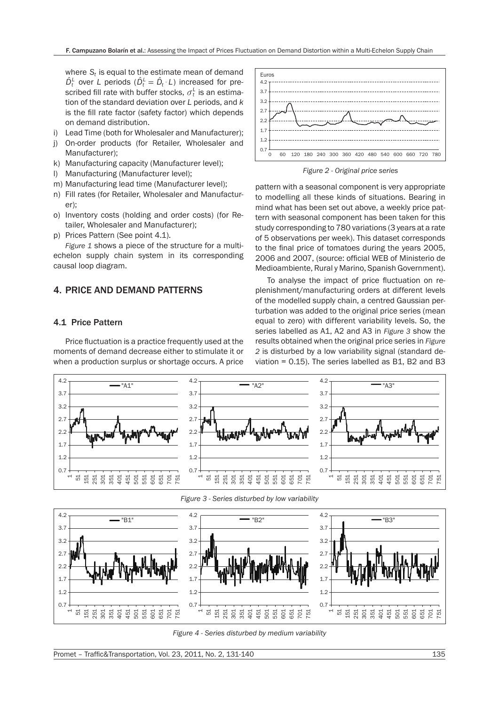where  $S_t$  is equal to the estimate mean of demand  $\hat{D}_{t}^{\perp}$  over *L* periods ( $\hat{D}_{t}^{\perp} = \hat{D}_{t} \cdot L$ ) increased for prescribed fill rate with buffer stocks,  $\sigma_t^{\scriptscriptstyle L}$  is an estimation of the standard deviation over *L* periods, and *k* is the fill rate factor (safety factor) which depends on demand distribution.

- i) Lead Time (both for Wholesaler and Manufacturer);
- j) On-order products (for Retailer, Wholesaler and Manufacturer);
- k) Manufacturing capacity (Manufacturer level);
- l) Manufacturing (Manufacturer level);
- m) Manufacturing lead time (Manufacturer level);
- n) Fill rates (for Retailer, Wholesaler and Manufacturer);
- o) Inventory costs (holding and order costs) (for Retailer, Wholesaler and Manufacturer);
- p) Prices Pattern (See point 4.1).

*Figure 1* shows a piece of the structure for a multiechelon supply chain system in its corresponding causal loop diagram.

## 4. PRICE AND DEMAND PATTERNS

## 4.1 Price Pattern

Price fluctuation is a practice frequently used at the moments of demand decrease either to stimulate it or when a production surplus or shortage occurs. A price



*Figure 2 - Original price series*

pattern with a seasonal component is very appropriate to modelling all these kinds of situations. Bearing in mind what has been set out above, a weekly price pattern with seasonal component has been taken for this study corresponding to 780 variations (3 years at a rate of 5 observations per week). This dataset corresponds to the final price of tomatoes during the years 2005, 2006 and 2007, (source: official WEB of Ministerio de Medioambiente, Rural y Marino, Spanish Government).

To analyse the impact of price fluctuation on replenishment/manufacturing orders at different levels of the modelled supply chain, a centred Gaussian perturbation was added to the original price series (mean equal to zero) with different variability levels. So, the series labelled as A1, A2 and A3 in *Figure 3* show the results obtained when the original price series in *Figure 2* is disturbed by a low variability signal (standard deviation = 0.15). The series labelled as B1, B2 and B3





*Figure 3 - Series disturbed by low variability*

*Figure 4 - Series disturbed by medium variability*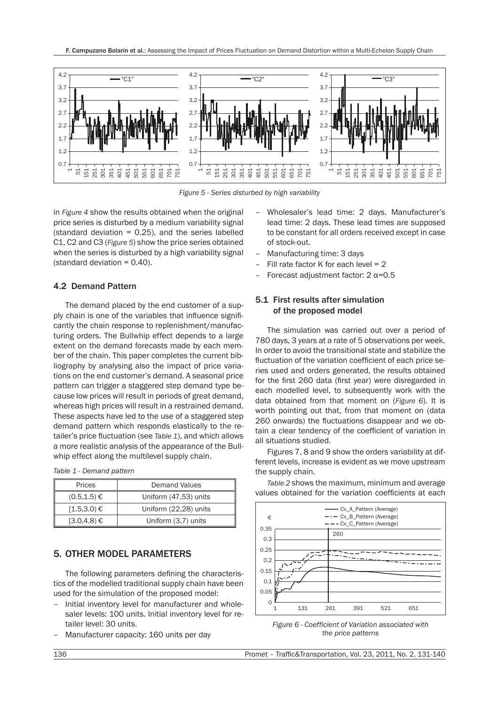

*Figure 5 - Series disturbed by high variability*

in *Figure 4* show the results obtained when the original price series is disturbed by a medium variability signal (standard deviation  $= 0.25$ ), and the series labelled C1, C2 and C3 (*Figure 5*) show the price series obtained when the series is disturbed by a high variability signal (standard deviation = 0.40).

## 4.2 Demand Pattern

The demand placed by the end customer of a supply chain is one of the variables that influence significantly the chain response to replenishment/manufacturing orders. The Bullwhip effect depends to a large extent on the demand forecasts made by each member of the chain. This paper completes the current bibliography by analysing also the impact of price variations on the end customer's demand. A seasonal price pattern can trigger a staggered step demand type because low prices will result in periods of great demand, whereas high prices will result in a restrained demand. These aspects have led to the use of a staggered step demand pattern which responds elastically to the retailer's price fluctuation (see *Table 1*), and which allows a more realistic analysis of the appearance of the Bullwhip effect along the multilevel supply chain.

*Table 1 - Demand pattern*

| Prices           | <b>Demand Values</b>  |
|------------------|-----------------------|
| $(0.5, 1.5)$ €   | Uniform (47,53) units |
| $1.5,3.0$ €      | Uniform (22,28) units |
| $(3.0, 4.8) \in$ | Uniform (3,7) units   |

## 5. OTHER MODEL PARAMETERS

The following parameters defining the characteristics of the modelled traditional supply chain have been used for the simulation of the proposed model:

- Initial inventory level for manufacturer and wholesaler levels: 100 units. Initial inventory level for retailer level: 30 units.
- Manufacturer capacity: 160 units per day
- Wholesaler's lead time: 2 days. Manufacturer's lead time: 2 days. These lead times are supposed to be constant for all orders received except in case of stock-out.
- Manufacturing time: 3 days
- Fill rate factor K for each level  $= 2$
- Forecast adjustment factor:  $2 \alpha = 0.5$

## 5.1 First results after simulation of the proposed model

The simulation was carried out over a period of 780 days, 3 years at a rate of 5 observations per week. In order to avoid the transitional state and stabilize the fluctuation of the variation coefficient of each price series used and orders generated, the results obtained for the first 260 data (first year) were disregarded in each modelled level, to subsequently work with the data obtained from that moment on (*Figure 6*). It is worth pointing out that, from that moment on (data 260 onwards) the fluctuations disappear and we obtain a clear tendency of the coefficient of variation in all situations studied.

Figures 7, 8 and 9 show the orders variability at different levels, increase is evident as we move upstream the supply chain.

*Table 2* shows the maximum, minimum and average values obtained for the variation coefficients at each



*Figure 6 - Coefficient of Variation associated with the price patterns*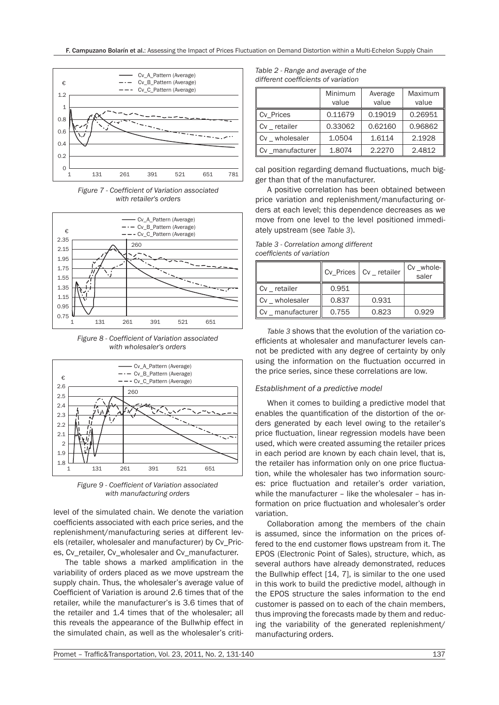

*Figure 7 - Coefficient of Variation associated with retailer's orders*



*Figure 8 - Coefficient of Variation associated with wholesaler's orders*



*Figure 9 - Coefficient of Variation associated with manufacturing orders*

level of the simulated chain. We denote the variation coefficients associated with each price series, and the replenishment/manufacturing series at different levels (retailer, wholesaler and manufacturer) by Cv\_Prices, Cv\_retailer, Cv\_wholesaler and Cv\_manufacturer.

The table shows a marked amplification in the variability of orders placed as we move upstream the supply chain. Thus, the wholesaler's average value of Coefficient of Variation is around 2.6 times that of the retailer, while the manufacturer's is 3.6 times that of the retailer and 1.4 times that of the wholesaler; all this reveals the appearance of the Bullwhip effect in the simulated chain, as well as the wholesaler's criti-

| Table 2 - Range and average of the  |
|-------------------------------------|
| different coefficients of variation |

|                                        | Minimum<br>value | Average<br>value | Maximum<br>value |  |
|----------------------------------------|------------------|------------------|------------------|--|
| ∥ Cv Prices                            | 0.11679          | 0.19019          | 0.26951          |  |
| ll cv<br>retailer                      | 0.33062          | 0.62160          | 0.96862          |  |
| $\mathbf{C}$ v $\mathbf{C}$ wholesaler | 1.0504           | 1.6114           | 2.1928           |  |
| manufacturer<br>ll Cv                  | 1.8074           | 2.2270           | 2.4812           |  |

cal position regarding demand fluctuations, much bigger than that of the manufacturer.

A positive correlation has been obtained between price variation and replenishment/manufacturing orders at each level; this dependence decreases as we move from one level to the level positioned immediately upstream (see *Table 3*).

*Table 3 - Correlation among different coefficients of variation*

|               |       | Cv Prices   Cv retailer | $Cv$ _whole- $\parallel$<br>saler |
|---------------|-------|-------------------------|-----------------------------------|
| $Cv$ retailer | 0.951 |                         |                                   |
| Cv wholesaler | 0.837 | 0.931                   |                                   |
| manufacturer  | 0.755 | 0.823                   | 0.929                             |

*Table 3* shows that the evolution of the variation coefficients at wholesaler and manufacturer levels cannot be predicted with any degree of certainty by only using the information on the fluctuation occurred in the price series, since these correlations are low.

### *Establishment of a predictive model*

When it comes to building a predictive model that enables the quantification of the distortion of the orders generated by each level owing to the retailer's price fluctuation, linear regression models have been used, which were created assuming the retailer prices in each period are known by each chain level, that is, the retailer has information only on one price fluctuation, while the wholesaler has two information sources: price fluctuation and retailer's order variation, while the manufacturer – like the wholesaler – has information on price fluctuation and wholesaler's order variation.

Collaboration among the members of the chain is assumed, since the information on the prices offered to the end customer flows upstream from it. The EPOS (Electronic Point of Sales), structure, which, as several authors have already demonstrated, reduces the Bullwhip effect [14, 7], is similar to the one used in this work to build the predictive model, although in the EPOS structure the sales information to the end customer is passed on to each of the chain members, thus improving the forecasts made by them and reducing the variability of the generated replenishment/ manufacturing orders.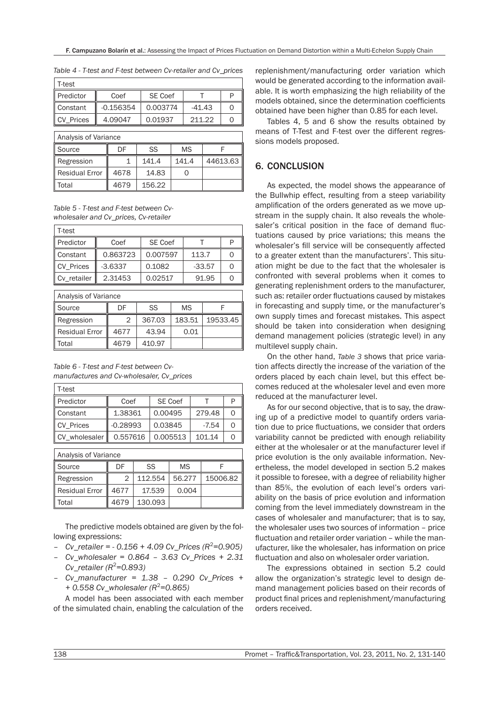| T-test                                                |             |                |          |   |  |  |  |
|-------------------------------------------------------|-------------|----------------|----------|---|--|--|--|
| ll Predictor                                          | Coef        | <b>SE Coef</b> |          | ₽ |  |  |  |
| Constant                                              | $-0.156354$ | 0.003774       | $-41.43$ | 0 |  |  |  |
| 211.22<br><b>CV Prices</b><br>0.01937<br>4.09047<br>0 |             |                |          |   |  |  |  |
| Analysis of Variance                                  |             |                |          |   |  |  |  |

*Table 4 - T-test and F-test between Cv-retailer and Cv\_prices*

| Analysis of Variance               |      |        |       |          |  |  |
|------------------------------------|------|--------|-------|----------|--|--|
| SS<br>Il Source<br><b>MS</b><br>DF |      |        |       |          |  |  |
| Regression                         |      | 141.4  | 141.4 | 44613.63 |  |  |
| ll Residual Error                  | 4678 | 14.83  |       |          |  |  |
| Total                              | 4679 | 156.22 |       |          |  |  |

*Table 5 - T-test and F-test between Cvwholesaler and Cv\_prices, Cv-retailer*

| T-test           |           |                |          |  |
|------------------|-----------|----------------|----------|--|
| ∥ Predictor      | Coef      | <b>SE Coef</b> |          |  |
| Constant         | 0.863723  | 0.007597       | 113.7    |  |
| <b>CV Prices</b> | $-3.6337$ | 0.1082         | $-33.57$ |  |
| Cv_retailer      | 2.31453   | 0.02517        | 91.95    |  |

| Analysis of Variance |                       |        |        |          |  |  |  |
|----------------------|-----------------------|--------|--------|----------|--|--|--|
| ll Source            | SS<br><b>MS</b><br>DF |        |        |          |  |  |  |
| Regression           | 2                     | 367.03 | 183.51 | 19533.45 |  |  |  |
| Residual Error       | 4677                  | 43.94  | 0.01   |          |  |  |  |
| Total                | 4679                  | 410.97 |        |          |  |  |  |

*Table 6 - T-test and F-test between Cvmanufactures and Cv-wholesaler, Cv\_prices*

Total  $\parallel$  4679 | 130.093

| T-test                |            |        |                |           |         |          |   |
|-----------------------|------------|--------|----------------|-----------|---------|----------|---|
| Predictor             | Coef       |        | <b>SE Coef</b> |           |         |          | P |
| Constant              | 1.38361    |        | 0.00495        |           | 279.48  |          | Ω |
| <b>CV</b> Prices      | $-0.28993$ |        | 0.03845        |           | $-7.54$ |          | Ω |
| CV wholesaler         | 0.557616   |        | 0.005513       |           | 101.14  |          | Ω |
| Analysis of Variance  |            |        |                |           |         |          |   |
| Source                | DF         |        | SS             | <b>MS</b> |         | F        |   |
| Regression            | 2          |        | 112.554        | 56.277    |         | 15006.82 |   |
| <b>Residual Error</b> | 4677       | 17.539 |                | 0.004     |         |          |   |

The predictive models obtained are given by the following expressions:

- *Cv\_retailer = 0.156 + 4.09 Cv\_Prices (R<sup>2</sup>=0.905)*
- *Cv\_wholesaler = 0.864 3.63 Cv\_Prices + 2.31 Cv\_retailer (R*<sup>2</sup> *=0.893)*
- *Cv\_manufacturer = 1.38 0.290 Cv\_Prices + + 0.558 Cv\_wholesaler (R*<sup>2</sup> *=0.865)*

A model has been associated with each member of the simulated chain, enabling the calculation of the

replenishment/manufacturing order variation which would be generated according to the information available. It is worth emphasizing the high reliability of the models obtained, since the determination coefficients obtained have been higher than 0.85 for each level.

Tables 4, 5 and 6 show the results obtained by means of T-Test and F-test over the different regressions models proposed.

# 6. CONCLUSION

As expected, the model shows the appearance of the Bullwhip effect, resulting from a steep variability amplification of the orders generated as we move upstream in the supply chain. It also reveals the wholesaler's critical position in the face of demand fluctuations caused by price variations; this means the wholesaler's fill service will be consequently affected to a greater extent than the manufacturers'. This situation might be due to the fact that the wholesaler is confronted with several problems when it comes to generating replenishment orders to the manufacturer, such as: retailer order fluctuations caused by mistakes in forecasting and supply time, or the manufacturer's own supply times and forecast mistakes. This aspect should be taken into consideration when designing demand management policies (strategic level) in any multilevel supply chain.

On the other hand, *Table 3* shows that price variation affects directly the increase of the variation of the orders placed by each chain level, but this effect becomes reduced at the wholesaler level and even more reduced at the manufacturer level.

As for our second objective, that is to say, the drawing up of a predictive model to quantify orders variation due to price fluctuations, we consider that orders variability cannot be predicted with enough reliability either at the wholesaler or at the manufacturer level if price evolution is the only available information. Nevertheless, the model developed in section 5.2 makes it possible to foresee, with a degree of reliability higher than 85%, the evolution of each level's orders variability on the basis of price evolution and information coming from the level immediately downstream in the cases of wholesaler and manufacturer; that is to say, the wholesaler uses two sources of information – price fluctuation and retailer order variation – while the manufacturer, like the wholesaler, has information on price fluctuation and also on wholesaler order variation.

The expressions obtained in section 5.2 could allow the organization's strategic level to design demand management policies based on their records of product final prices and replenishment/manufacturing orders received.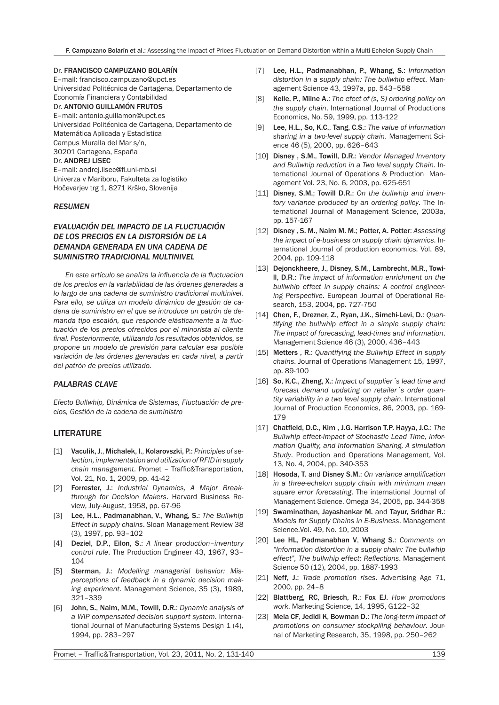#### Dr. FRANCISCO CAMPUZANO BOLARÍN

E–mail: francisco.campuzano@upct.es Universidad Politécnica de Cartagena, Departamento de Economía Financiera y Contabilidad Dr. ANTONIO GUILLAMÓN FRUTOS E–mail: antonio.guillamon@upct.es Universidad Politécnica de Cartagena, Departamento de Matemática Aplicada y Estadística Campus Muralla del Mar s/n, 30201 Cartagena, España Dr. ANDREJ LISEC E–mail: andrej.lisec@fl.uni-mb.si Univerza v Mariboru, Fakulteta za logistiko Hočevarjev trg 1, 8271 Krško, Slovenija

#### *RESUMEN*

## *EVALUACIÓN DEL IMPACTO DE LA FLUCTUACIÓN DE LOS PRECIOS EN LA DISTORSIÓN DE LA DEMANDA GENERADA EN UNA CADENA DE SUMINISTRO TRADICIONAL MULTINIVEL*

*En este artículo se analiza la influencia de la fluctuacion de los precios en la variabilidad de las órdenes generadas a lo largo de una cadena de suministro tradicional multinivel. Para ello, se utiliza un modelo dinámico de gestión de cadena de suministro en el que se introduce un patrón de demanda tipo escalón, que responde elásticamente a la fluctuación de los precios ofrecidos por el minorista al cliente final. Posteriormente, utilizando los resultados obtenidos, se propone un modelo de previsión para calcular esa posible variación de las órdenes generadas en cada nivel, a partir del patrón de precios utilizado.*

#### *PALABRAS CLAVE*

*Efecto Bullwhip, Dinámica de Sistemas, Fluctuación de precios, Gestión de la cadena de suministro*

## LITERATURE

- [1] Vaculik, J., Michalek, I., Kolarovszki, P.: *Principles of selection, implementation and utilization of RFID in supply chain management*. Promet – Traffic&Transportation, Vol. 21, No. 1, 2009, pp. 41-42
- [2] Forrester, J.: *Industrial Dynamics, A Major Breakthrough for Decision Makers*. Harvard Business Review, July-August, 1958, pp. 67-96
- [3] Lee, H.L., Padmanabhan, V., Whang, S.: *The Bullwhip Effect in supply chains*. Sloan Management Review 38 (3), 1997, pp. 93–102
- [4] Deziel, D.P., Eilon, S.: *A linear production–inventory control rule*. The Production Engineer 43, 1967, 93– 104
- [5] Sterman, J.: *Modelling managerial behavior: Misperceptions of feedback in a dynamic decision making experiment*. Management Science, 35 (3), 1989, 321–339
- [6] John, S., Naim, M.M., Towill, D.R.: *Dynamic analysis of a WIP compensated decision support system*. International Journal of Manufacturing Systems Design 1 (4), 1994, pp. 283–297
- [7] Lee, H.L., Padmanabhan, P., Whang, S.: *Information distortion in a supply chain: The bullwhip effect*. Management Science 43, 1997a, pp. 543–558
- [8] Kelle, P., Milne A.: *The efect of (s, S) ordering policy on the supply chain*. International Journal of Productions Economics, No. 59, 1999, pp. 113-122
- [9] Lee, H.L., So, K.C., Tang, C.S.: *The value of information sharing in a two-level supply chain*. Management Science 46 (5), 2000, pp. 626–643
- [10] **Disney, S.M., Towill, D.R.:** *Vendor Managed Inventory and Bullwhip reduction in a Two level supply Chain*. International Journal of Operations & Production Management Vol. 23, No. 6, 2003, pp. 625-651
- [11] Disney, S.M.; Towill D.R.: *On the bullwhip and inventory variance produced by an ordering policy*. The International Journal of Management Science, 2003a, pp. 157-167
- [12] Disney , S. M., Naim M. M.; Potter, A. Potter: *Assessing the impact of e-business on supply chain dynamics*. International Journal of production economics. Vol. 89, 2004, pp. 109-118
- [13] Dejonckheere, J., Disney, S.M., Lambrecht, M.R., Towill, D.R.: *The impact of information enrichment on the bullwhip effect in supply chains: A control engineering Perspective*. European Journal of Operational Research, 153, 2004, pp. 727-750
- [14] Chen, F., Drezner, Z., Ryan, J.K., Simchi-Levi, D.: *Quantifying the bullwhip effect in a simple supply chain: The impact of forecasting, lead-times and information*. Management Science 46 (3), 2000, 436–443
- [15] Metters , R.: *Quantifying the Bullwhip Effect in supply chains*. Journal of Operations Management 15, 1997, pp. 89-100
- [16] So, K.C., Zheng, X.: *Impact of supplier´s lead time and forecast demand updating on retailer´s order quantity variability in a two level supply chain*. International Journal of Production Economics, 86, 2003, pp. 169- 179
- [17] Chatfield, D.C., Kim , J.G. Harrison T.P. Hayya, J.C.: *The Bullwhip effect-Impact of Stochastic Lead Time, Information Quality, and Information Sharing, A simulation Study*. Production and Operations Management, Vol. 13, No. 4, 2004, pp. 340-353
- [18] Hosoda, T. and Disney S.M.: On variance amplification *in a three-echelon supply chain with minimum mean square error forecasting*. The international Journal of Management Science. Omega 34, 2005, pp. 344-358
- [19] Swaminathan, Jayashankar M. and Tayur, Sridhar R.: *Models for Supply Chains in E-Business*. Management Science.Vol. 49, No. 10, 2003
- [20] Lee HL, Padmanabhan V, Whang S.: *Comments on "Information distortion in a supply chain: The bullwhip effect", The bullwhip effect: Reflections*. Management Science 50 (12), 2004, pp. 1887-1993
- [21] Neff, J.: *Trade promotion rises*. Advertising Age 71, 2000, pp. 24–8
- [22] Blattberg, RC, Briesch, R.: Fox EJ. *How promotions work*. Marketing Science, 14, 1995, G122–32
- [23] Mela CF, Jedidi K, Bowman D.: *The long-term impact of promotions on consumer stockpiling behaviour*. Journal of Marketing Research, 35, 1998, pp. 250–262